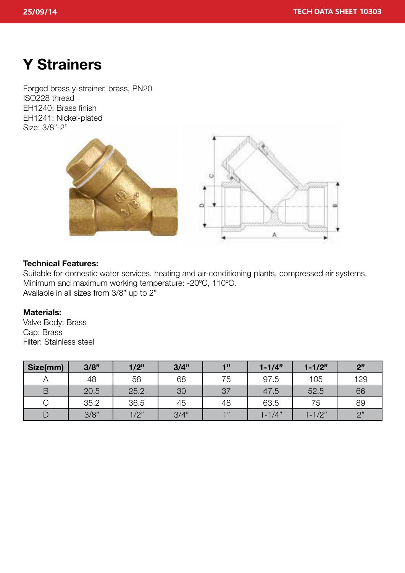# **Y Strainers**

Forged brass y-strainer, brass, PN20 ISO228 thread EH1240: Brass finish EH1241: Nickel-plated Size: 3/8"-2"



# **Technical Features:**

Suitable for domestic water services, heating and air-conditioning plants, compressed air systems. Minimum and maximum working temperature: -20ºC, 110ºC. Available in all sizes from 3/8" up to 2"

# **Materials:**

Valve Body: Brass Cap: Brass Filter: Stainless steel

| Size(mm) | 3/8" | 1/2" | 3/4" | 1"   | $1 - 1/4"$ | $1 - 1/2"$ | 2"  |
|----------|------|------|------|------|------------|------------|-----|
|          | 48   | 58   | 68   | 75   | 97.5       | 105        | 129 |
| B        | 20.5 | 25.2 | 30   | 37   | 47.5       | 52.5       | 66  |
|          | 35.2 | 36.5 | 45   | 48   | 63.5       | 75         | 89  |
| D        | 3/8" | 1/2" | 3/4" | $-1$ | $1 - 1/4"$ | $1 - 1/2"$ | 2"  |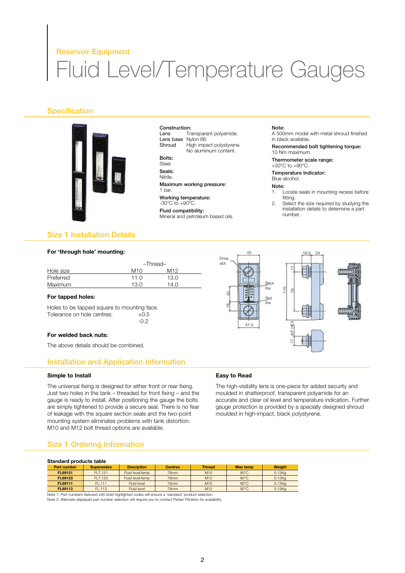### Reservoir Equipment

# Fluid Level/Temperature Gauges

# **Specification**



**Construction:**<br>Lens Tr Transparent polyamide. Lens base Nylon 66.<br>Shroud High impa High impact polystyrene. No aluminium content.

Bolts: Steel.

Seals:

Nitrile.

Maximum working pressure: 1 bar. Working temperature:  $-30^{\circ}$ C to  $+90^{\circ}$ C.

Fluid compatibility: Mineral and petroleum based oils.

#### Note:

A 500mm model with metal shroud finished in black available.

Recommended bolt tightening torque: 10 Nm maximum.

Thermometer scale range: +30°C to +90°C.

Temperature Indicator:

Blue alcohol.

#### Note:

- 1. Locate seals in mounting recess before fitting.
- 2. Select the size required by studying the installation details to determine a part number.

18.5 24

# Size 1 Installation Details

#### **For 'through hole' mounting:**

| -Thread-     |      |  |  |
|--------------|------|--|--|
| M10          | M12  |  |  |
| 11. $\Omega$ | 13.0 |  |  |
| 13.0         | 14.0 |  |  |
|              |      |  |  |

#### **For tapped holes:**

Holes to be tapped square to mounting face. Tolerance on hole centres:  $+0.5$ -0.2

#### **For welded back nuts:**

The above details should be combined.

# Installation and Application Information

#### **Simple to Install**

The universal fixing is designed for either front or rear fixing. Just two holes in the tank – threaded for front fixing – and the gauge is ready to install. After positioning the gauge the bolts are simply tightened to provide a secure seal. There is no fear of leakage with the square section seals and the two-point mounting system eliminates problems with tank distortion. M10 and M12 bolt thread options are available.

# Size 1 Ordering Information

#### **Standard products table**

| Part number | <b>Supersedes</b> | <b>Desciption</b> | <b>Centres</b> | <b>Thread</b>   | <b>Max temp</b> | <b>Weight</b> |
|-------------|-------------------|-------------------|----------------|-----------------|-----------------|---------------|
| FL69121     | FI T.121          | Fluid level/temp  | 76mm           | M <sub>10</sub> | $90^{\circ}$ C  | 0.13Kg        |
| FL69123     | <b>FLT.123</b>    | Fluid level/temp  | 76mm           | M12             | $90^{\circ}$ C  | 0.13Kg        |
| FL69111     | FL.111            | Fluid level       | 76mm           | M <sub>10</sub> | $90^{\circ}$ C  | 0.13Kg        |
| FL69113     | FL.113            | Fluid level       | 76mm           | M <sub>12</sub> | $90^{\circ}$ C  | 0.13Kg        |

Note 1: Part numbers featured with bold highlighted codes will ensure a 'standard' product selection. Note 2: Alternate displayed part number selection will require you to contact Parker Filtration for availability.



#### **Easy to Read**

Drive slot

43

The high-visibility lens is one-piece for added security and moulded in shatterproof, transparent polyamide for an accurate and clear oil level and temperature indication. Further gauge protection is provided by a specially designed shroud moulded in high-impact, black polystyrene.